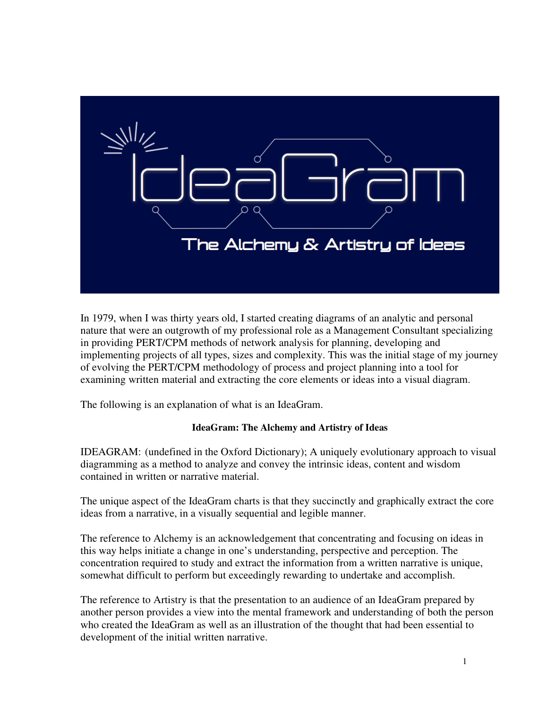

In 1979, when I was thirty years old, I started creating diagrams of an analytic and personal nature that were an outgrowth of my professional role as a Management Consultant specializing in providing PERT/CPM methods of network analysis for planning, developing and implementing projects of all types, sizes and complexity. This was the initial stage of my journey of evolving the PERT/CPM methodology of process and project planning into a tool for examining written material and extracting the core elements or ideas into a visual diagram.

The following is an explanation of what is an IdeaGram.

## **IdeaGram: The Alchemy and Artistry of Ideas**

IDEAGRAM: (undefined in the Oxford Dictionary); A uniquely evolutionary approach to visual diagramming as a method to analyze and convey the intrinsic ideas, content and wisdom contained in written or narrative material.

The unique aspect of the IdeaGram charts is that they succinctly and graphically extract the core ideas from a narrative, in a visually sequential and legible manner.

The reference to Alchemy is an acknowledgement that concentrating and focusing on ideas in this way helps initiate a change in one's understanding, perspective and perception. The concentration required to study and extract the information from a written narrative is unique, somewhat difficult to perform but exceedingly rewarding to undertake and accomplish.

The reference to Artistry is that the presentation to an audience of an IdeaGram prepared by another person provides a view into the mental framework and understanding of both the person who created the IdeaGram as well as an illustration of the thought that had been essential to development of the initial written narrative.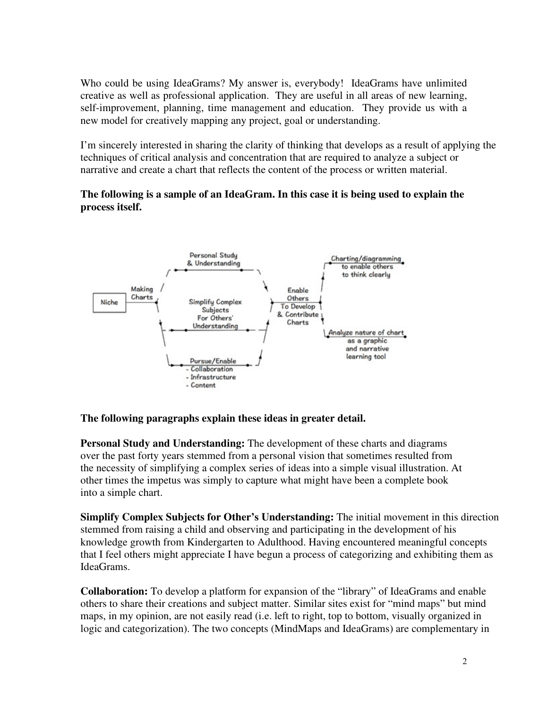Who could be using IdeaGrams? My answer is, everybody! IdeaGrams have unlimited creative as well as professional application. They are useful in all areas of new learning, self-improvement, planning, time management and education. They provide us with a new model for creatively mapping any project, goal or understanding.

I'm sincerely interested in sharing the clarity of thinking that develops as a result of applying the techniques of critical analysis and concentration that are required to analyze a subject or narrative and create a chart that reflects the content of the process or written material.

## **The following is a sample of an IdeaGram. In this case it is being used to explain the process itself.**



## **The following paragraphs explain these ideas in greater detail.**

**Personal Study and Understanding:** The development of these charts and diagrams over the past forty years stemmed from a personal vision that sometimes resulted from the necessity of simplifying a complex series of ideas into a simple visual illustration. At other times the impetus was simply to capture what might have been a complete book into a simple chart.

**Simplify Complex Subjects for Other's Understanding:** The initial movement in this direction stemmed from raising a child and observing and participating in the development of his knowledge growth from Kindergarten to Adulthood. Having encountered meaningful concepts that I feel others might appreciate I have begun a process of categorizing and exhibiting them as IdeaGrams.

**Collaboration:** To develop a platform for expansion of the "library" of IdeaGrams and enable others to share their creations and subject matter. Similar sites exist for "mind maps" but mind maps, in my opinion, are not easily read (i.e. left to right, top to bottom, visually organized in logic and categorization). The two concepts (MindMaps and IdeaGrams) are complementary in